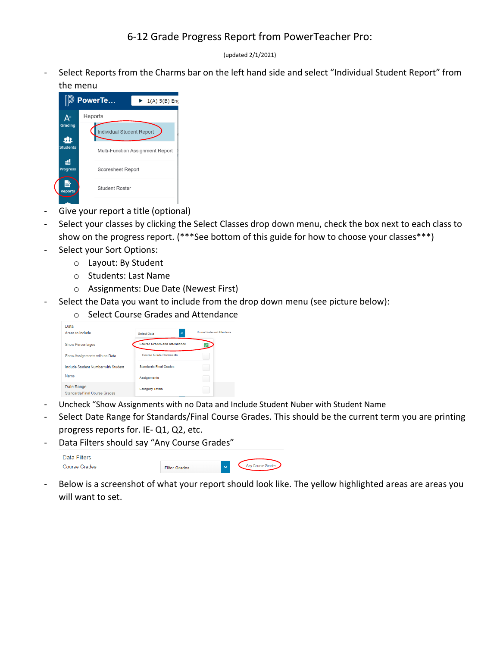(updated 2/1/2021)

Select Reports from the Charms bar on the left hand side and select "Individual Student Report" from the menu



- Give your report a title (optional)
- Select your classes by clicking the Select Classes drop down menu, check the box next to each class to show on the progress report. (\*\*\*See bottom of this guide for how to choose your classes\*\*\*)
- Select your Sort Options:
	- o Layout: By Student
	- o Students: Last Name
	- o Assignments: Due Date (Newest First)
- Select the Data you want to include from the drop down menu (see picture below):
	- o Select Course Grades and Attendance

| Data                                        |                                     |                              |
|---------------------------------------------|-------------------------------------|------------------------------|
| Areas to Include                            | $\lambda$<br><b>Select Data</b>     | Course Grades and Attendance |
| <b>Show Percentages</b>                     | <b>Course Grades and Attendance</b> |                              |
| Show Assignments with no Data               | <b>Course Grade Comments</b>        |                              |
| Include Student Number with Student         | <b>Standards Final Grades</b>       |                              |
| Name                                        | <b>Assignments</b>                  |                              |
| Date Range<br>Standards/Final Course Grades | <b>Category Totals</b>              |                              |

- Uncheck "Show Assignments with no Data and Include Student Nuber with Student Name
- Select Date Range for Standards/Final Course Grades. This should be the current term you are printing progress reports for. IE- Q1, Q2, etc.
- Data Filters should say "Any Course Grades"

| Data Filters         |                      |              |                   |
|----------------------|----------------------|--------------|-------------------|
| <b>Course Grades</b> | <b>Filter Grades</b> | $\checkmark$ | Any Course Grades |

- Below is a screenshot of what your report should look like. The yellow highlighted areas are areas you will want to set.